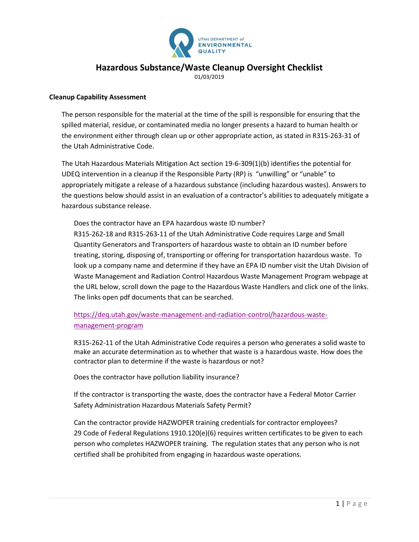

## **Hazardous Substance/Waste Cleanup Oversight Checklist**

01/03/2019

## **Cleanup Capability Assessment**

The person responsible for the material at the time of the spill is responsible for ensuring that the spilled material, residue, or contaminated media no longer presents a hazard to human health or the environment either through clean up or other appropriate action, as stated in R315-263-31 of the Utah Administrative Code.

The Utah Hazardous Materials Mitigation Act section 19-6-309(1)(b) identifies the potential for UDEQ intervention in a cleanup if the Responsible Party (RP) is "unwilling" or "unable" to appropriately mitigate a release of a hazardous substance (including hazardous wastes). Answers to the questions below should assist in an evaluation of a contractor's abilities to adequately mitigate a hazardous substance release.

Does the contractor have an EPA hazardous waste ID number? R315-262-18 and R315-263-11 of the Utah Administrative Code requires Large and Small Quantity Generators and Transporters of hazardous waste to obtain an ID number before treating, storing, disposing of, transporting or offering for transportation hazardous waste. To look up a company name and determine if they have an EPA ID number visit the Utah Division of Waste Management and Radiation Control Hazardous Waste Management Program webpage at the URL below, scroll down the page to the Hazardous Waste Handlers and click one of the links. The links open pdf documents that can be searched.

[https://deq.utah.gov/waste-management-and-radiation-control/hazardous-waste](https://deq.utah.gov/waste-management-and-radiation-control/hazardous-waste-management-program)[management-program](https://deq.utah.gov/waste-management-and-radiation-control/hazardous-waste-management-program)

R315-262-11 of the Utah Administrative Code requires a person who generates a solid waste to make an accurate determination as to whether that waste is a hazardous waste. How does the contractor plan to determine if the waste is hazardous or not?

Does the contractor have pollution liability insurance?

If the contractor is transporting the waste, does the contractor have a Federal Motor Carrier Safety Administration Hazardous Materials Safety Permit?

Can the contractor provide HAZWOPER training credentials for contractor employees? 29 Code of Federal Regulations 1910.120(e)(6) requires written certificates to be given to each person who completes HAZWOPER training. The regulation states that any person who is not certified shall be prohibited from engaging in hazardous waste operations.